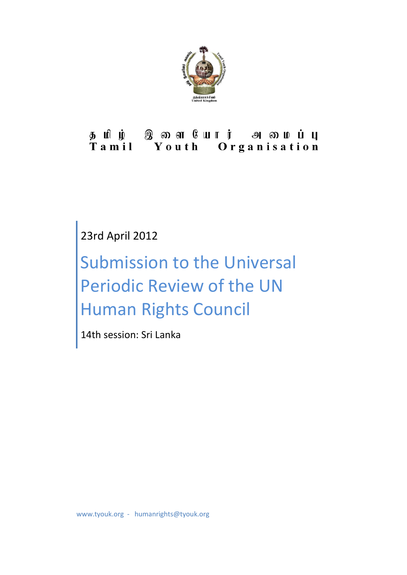

# தமிழ் இளையோர் அமைப்பு<br>Tamil Youth Organisation

### 23rd April 2012

## Submission to the Universal Periodic Review of the UN Human Rights Council

14th session: Sri Lanka

www.tyouk.org - humanrights@tyouk.org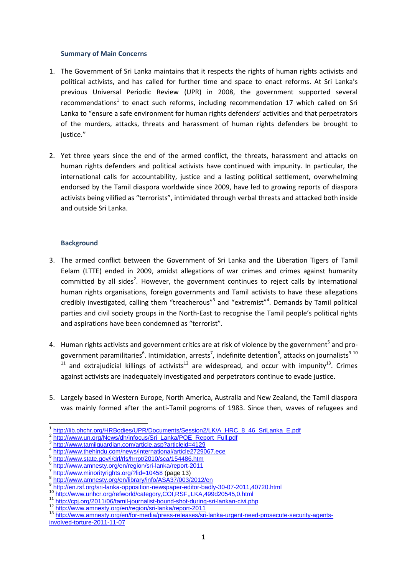#### **Summary of Main Concerns**

- 1. The Government of Sri Lanka maintains that it respects the rights of human rights activists and political activists, and has called for further time and space to enact reforms. At Sri Lanka's previous Universal Periodic Review (UPR) in 2008, the government supported several recommendations<sup>1</sup> to enact such reforms, including recommendation 17 which called on Sri Lanka to "ensure a safe environment for human rights defenders' activities and that perpetrators of the murders, attacks, threats and harassment of human rights defenders be brought to iustice."
- 2. Yet three years since the end of the armed conflict, the threats, harassment and attacks on human rights defenders and political activists have continued with impunity. In particular, the international calls for accountability, justice and a lasting political settlement, overwhelming endorsed by the Tamil diaspora worldwide since 2009, have led to growing reports of diaspora activists being vilified as "terrorists", intimidated through verbal threats and attacked both inside and outside Sri Lanka.

#### **Background**

- 3. The armed conflict between the Government of Sri Lanka and the Liberation Tigers of Tamil Eelam (LTTE) ended in 2009, amidst allegations of war crimes and crimes against humanity committed by all sides<sup>2</sup>. However, the government continues to reject calls by international human rights organisations, foreign governments and Tamil activists to have these allegations credibly investigated, calling them "treacherous"<sup>3</sup> and "extremist"<sup>4</sup>. Demands by Tamil political parties and civil society groups in the North-East to recognise the Tamil people's political rights and aspirations have been condemned as "terrorist".
- 4. Human rights activists and government critics are at risk of violence by the government<sup>5</sup> and progovernment paramilitaries<sup>6</sup>. Intimidation, arrests<sup>7</sup>, indefinite detention<sup>8</sup>, attacks on journalists<sup>9 10</sup>  $11$  and extrajudicial killings of activists<sup>12</sup> are widespread, and occur with impunity<sup>13</sup>. Crimes against activists are inadequately investigated and perpetrators continue to evade justice.
- 5. Largely based in Western Europe, North America, Australia and New Zealand, the Tamil diaspora was mainly formed after the anti-Tamil pogroms of 1983. Since then, waves of refugees and

**<sup>.</sup>** 1 [http://lib.ohchr.org/HRBodies/UPR/Documents/Session2/LK/A\\_HRC\\_8\\_46\\_SriLanka\\_E.pdf](http://lib.ohchr.org/HRBodies/UPR/Documents/Session2/LK/A_HRC_8_46_SriLanka_E.pdf)

<sup>2</sup> [http://www.un.org/News/dh/infocus/Sri\\_Lanka/POE\\_Report\\_Full.pdf](http://www.un.org/News/dh/infocus/Sri_Lanka/POE_Report_Full.pdf)

<sup>3</sup> <http://www.tamilguardian.com/article.asp?articleid=4129>

<sup>4</sup> <http://www.thehindu.com/news/international/article2729067.ece>

<sup>5</sup> <http://www.state.gov/j/drl/rls/hrrpt/2010/sca/154486.htm>

<sup>6</sup> <http://www.amnesty.org/en/region/sri-lanka/report-2011>

<sup>7</sup> <http://www.minorityrights.org/?lid=10458> (page 13)

<sup>8</sup> <http://www.amnesty.org/en/library/info/ASA37/003/2012/en>

<sup>9</sup> <http://en.rsf.org/sri-lanka-opposition-newspaper-editor-badly-30-07-2011,40720.html>

<sup>10</sup> <http://www.unhcr.org/refworld/category,COI,RSF,,LKA,499d20545,0.html>

<sup>11</sup> <http://cpj.org/2011/06/tamil-journalist-bound-shot-during-sri-lankan-civi.php>

<sup>12</sup> <http://www.amnesty.org/en/region/sri-lanka/report-2011>

<sup>13</sup> [http://www.amnesty.org/en/for-media/press-releases/sri-lanka-urgent-need-prosecute-security-agents](http://www.amnesty.org/en/for-media/press-releases/sri-lanka-urgent-need-prosecute-security-agents-involved-torture-2011-11-07)[involved-torture-2011-11-07](http://www.amnesty.org/en/for-media/press-releases/sri-lanka-urgent-need-prosecute-security-agents-involved-torture-2011-11-07)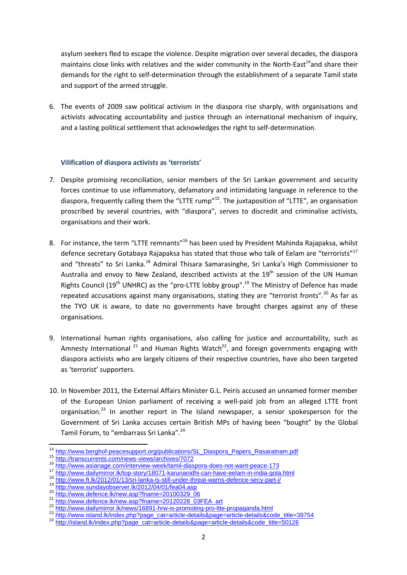asylum seekers fled to escape the violence. Despite migration over several decades, the diaspora maintains close links with relatives and the wider community in the North-East<sup>14</sup>and share their demands for the right to self-determination through the establishment of a separate Tamil state and support of the armed struggle.

6. The events of 2009 saw political activism in the diaspora rise sharply, with organisations and activists advocating accountability and justice through an international mechanism of inquiry, and a lasting political settlement that acknowledges the right to self-determination.

#### **Vilification of diaspora activists as 'terrorists'**

- 7. Despite promising reconciliation, senior members of the Sri Lankan government and security forces continue to use inflammatory, defamatory and intimidating language in reference to the diaspora, frequently calling them the "LTTE rump"<sup>15</sup>. The juxtaposition of "LTTE", an organisation proscribed by several countries, with "diaspora", serves to discredit and criminalise activists, organisations and their work.
- 8. For instance, the term "LTTE remnants"<sup>16</sup> has been used by President Mahinda Rajapaksa, whilst defence secretary Gotabaya Rajapaksa has stated that those who talk of Eelam are "terrorists"<sup>17</sup> and "threats" to Sri Lanka.<sup>18</sup> Admiral Thisara Samarasinghe, Sri Lanka's High Commissioner to Australia and envoy to New Zealand, described activists at the  $19<sup>th</sup>$  session of the UN Human Rights Council (19<sup>th</sup> UNHRC) as the "pro-LTTE lobby group".<sup>19</sup> The Ministry of Defence has made repeated accusations against many organisations, stating they are "terrorist fronts".<sup>20</sup> As far as the TYO UK is aware, to date no governments have brought charges against any of these organisations.
- 9. International human rights organisations, also calling for justice and accountability, such as Amnesty International  $^{21}$  and Human Rights Watch<sup>22</sup>, and foreign governments engaging with diaspora activists who are largely citizens of their respective countries, have also been targeted as 'terrorist' supporters.
- 10. In November 2011, the External Affairs Minister G.L. Peiris accused an unnamed former member of the European Union parliament of receiving a well-paid job from an alleged LTTE front organisation.<sup>23</sup> In another report in The Island newspaper, a senior spokesperson for the Government of Sri Lanka accuses certain British MPs of having been "bought" by the Global Tamil Forum, to "embarrass Sri Lanka". 24

 $\overline{\phantom{a}}$ <sup>14</sup> [http://www.berghof-peacesupport.org/publications/SL\\_Diaspora\\_Papers\\_Rasaratnam.pdf](http://www.berghof-peacesupport.org/publications/SL_Diaspora_Papers_Rasaratnam.pdf)

<sup>15</sup> <http://transcurrents.com/news-views/archives/7072>

<http://www.asianage.com/interview-week/tamil-diaspora-does-not-want-peace-173>

<sup>17</sup> <http://www.dailymirror.lk/top-story/18071-karunanidhi-can-have-eelam-in-india-gota.html>

<sup>18</sup> <http://www.ft.lk/2012/01/13/sri-lanka-is-still-under-threat-warns-defence-secy-part-i/><br>19 http://www.curedovebeerver.lk/2012/04/01/fee04.eep

<http://www.sundayobserver.lk/2012/04/01/fea04.asp>

<sup>20</sup> [http://www.defence.lk/new.asp?fname=20100329\\_06](http://www.defence.lk/new.asp?fname=20100329_06)<br>21 http://www.defence.lk/new.asp?fname=20100329\_06

 $\frac{21}{100}$  [http://www.defence.lk/new.asp?fname=20120228\\_03FEA\\_art](http://www.defence.lk/new.asp?fname=20120228_03FEA_art)

 $\frac{22 \text{ http://www.dailymirror.lk/news/16891-hrw-is-promoting-pro-lte-propaganda.html}}{23 \text{ http://www.dalymirror.lk/news/16891-hrw-is-promoting-pro-lte-propaganda.html}}$ 

[http://www.island.lk/index.php?page\\_cat=article-details&page=article-details&code\\_title=39754](http://www.island.lk/index.php?page_cat=article-details&page=article-details&code_title=39754)

<sup>&</sup>lt;sup>24</sup> [http://island.lk/index.php?page\\_cat=article-details&page=article-details&code\\_title=50126](http://island.lk/index.php?page_cat=article-details&page=article-details&code_title=50126)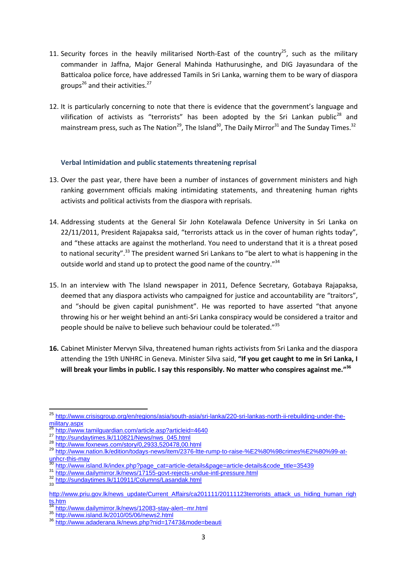- 11. Security forces in the heavily militarised North-East of the country<sup>25</sup>, such as the military commander in Jaffna, Major General Mahinda Hathurusinghe, and DIG Jayasundara of the Batticaloa police force, have addressed Tamils in Sri Lanka, warning them to be wary of diaspora groups<sup>26</sup> and their activities.<sup>27</sup>
- 12. It is particularly concerning to note that there is evidence that the government's language and vilification of activists as "terrorists" has been adopted by the Sri Lankan public<sup>28</sup> and mainstream press, such as The Nation<sup>29</sup>, The Island<sup>30</sup>, The Daily Mirror<sup>31</sup> and The Sunday Times.<sup>32</sup>

#### **Verbal Intimidation and public statements threatening reprisal**

- 13. Over the past year, there have been a number of instances of government ministers and high ranking government officials making intimidating statements, and threatening human rights activists and political activists from the diaspora with reprisals.
- 14. Addressing students at the General Sir John Kotelawala Defence University in Sri Lanka on 22/11/2011, President Rajapaksa said, "terrorists attack us in the cover of human rights today", and "these attacks are against the motherland. You need to understand that it is a threat posed to national security".<sup>33</sup> The president warned Sri Lankans to "be alert to what is happening in the outside world and stand up to protect the good name of the country."<sup>34</sup>
- 15. In an interview with The Island newspaper in 2011, Defence Secretary, Gotabaya Rajapaksa, deemed that any diaspora activists who campaigned for justice and accountability are "traitors", and "should be given capital punishment". He was reported to have asserted "that anyone throwing his or her weight behind an anti-Sri Lanka conspiracy would be considered a traitor and people should be naïve to believe such behaviour could be tolerated."<sup>35</sup>
- **16.** Cabinet Minister Mervyn Silva, threatened human rights activists from Sri Lanka and the diaspora attending the 19th UNHRC in Geneva. Minister Silva said, **"If you get caught to me in Sri Lanka, I will break your limbs in public. I say this responsibly. No matter who conspires against me." 36**

 $\overline{\phantom{a}}$ <sup>25</sup> [http://www.crisisgroup.org/en/regions/asia/south-asia/sri-lanka/220-sri-lankas-north-ii-rebuilding-under-the-](http://www.crisisgroup.org/en/regions/asia/south-asia/sri-lanka/220-sri-lankas-north-ii-rebuilding-under-the-military.aspx) $\frac{m! \times m \times m \times m}{26}$ 

<http://www.tamilguardian.com/article.asp?articleid=4640>

<sup>27</sup> [http://sundaytimes.lk/110821/News/nws\\_045.html](http://sundaytimes.lk/110821/News/nws_045.html)

<sup>28</sup> <http://www.foxnews.com/story/0,2933,520478,00.html>

<sup>29</sup> [http://www.nation.lk/edition/todays-news/item/2376-ltte-rump-to-raise-%E2%80%98crimes%E2%80%99-at](http://www.nation.lk/edition/todays-news/item/2376-ltte-rump-to-raise-%E2%80%98crimes%E2%80%99-at-unhcr-this-may) $\frac{unhcr-this-may}{30+...}$  $\frac{unhcr-this-may}{30+...}$  $\frac{unhcr-this-may}{30+...}$ 

<sup>30</sup> [http://www.island.lk/index.php?page\\_cat=article-details&page=article-details&code\\_title=35439](http://www.island.lk/index.php?page_cat=article-details&page=article-details&code_title=35439)<br>31 http://www.island.lk/index.php?page\_cat=article-details&page=article-details&code\_title=35439

<sup>&</sup>lt;sup>31</sup> <http://www.dailymirror.lk/news/17155-govt-rejects-undue-intl-pressure.html><br><sup>32</sup> http://www.dailynas.lk/440044/Qahreese/Lassedak.html

<http://sundaytimes.lk/110911/Columns/Lasandak.html>  $22$ 

[http://www.priu.gov.lk/news\\_update/Current\\_Affairs/ca201111/20111123terrorists\\_attack\\_us\\_hiding\\_human\\_righ](http://www.priu.gov.lk/news_update/Current_Affairs/ca201111/20111123terrorists_attack_us_hiding_human_rights.htm)  $\frac{1}{34}$ . htm

<sup>34</sup> <http://www.dailymirror.lk/news/12083-stay-alert--mr.html>

<sup>35</sup> <http://www.island.lk/2010/05/06/news2.html><br>36 http://www.island.lk/2010/05/06/news2.html

<http://www.adaderana.lk/news.php?nid=17473&mode=beauti>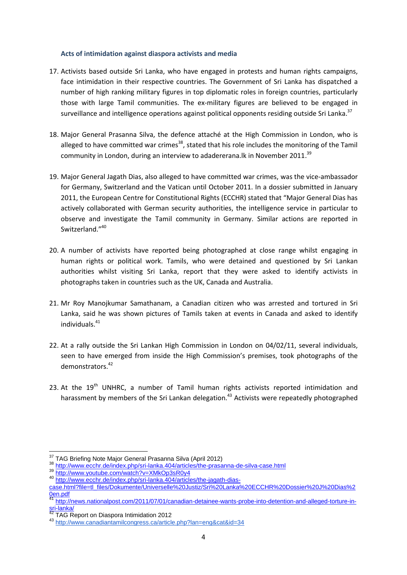#### **Acts of intimidation against diaspora activists and media**

- 17. Activists based outside Sri Lanka, who have engaged in protests and human rights campaigns, face intimidation in their respective countries. The Government of Sri Lanka has dispatched a number of high ranking military figures in top diplomatic roles in foreign countries, particularly those with large Tamil communities. The ex-military figures are believed to be engaged in surveillance and intelligence operations against political opponents residing outside Sri Lanka.<sup>37</sup>
- 18. Major General Prasanna Silva, the defence attaché at the High Commission in London, who is alleged to have committed war crimes<sup>38</sup>, stated that his role includes the monitoring of the Tamil community in London, during an interview to adadererana.lk in November 2011.<sup>39</sup>
- 19. Major General Jagath Dias, also alleged to have committed war crimes, was the vice-ambassador for Germany, Switzerland and the Vatican until October 2011. In a dossier submitted in January 2011, the European Centre for Constitutional Rights (ECCHR) stated that "Major General Dias has actively collaborated with German security authorities, the intelligence service in particular to observe and investigate the Tamil community in Germany. Similar actions are reported in Switzerland."40
- 20. A number of activists have reported being photographed at close range whilst engaging in human rights or political work. Tamils, who were detained and questioned by Sri Lankan authorities whilst visiting Sri Lanka, report that they were asked to identify activists in photographs taken in countries such as the UK, Canada and Australia.
- 21. Mr Roy Manojkumar Samathanam, a Canadian citizen who was arrested and tortured in Sri Lanka, said he was shown pictures of Tamils taken at events in Canada and asked to identify individuals.<sup>41</sup>
- 22. At a rally outside the Sri Lankan High Commission in London on 04/02/11, several individuals, seen to have emerged from inside the High Commission's premises, took photographs of the demonstrators.<sup>42</sup>
- 23. At the  $19<sup>th</sup>$  UNHRC, a number of Tamil human rights activists reported intimidation and harassment by members of the Sri Lankan delegation.<sup>43</sup> Activists were repeatedly photographed

 $\overline{a}$ 

<sup>&</sup>lt;sup>37</sup> TAG Briefing Note Major General Prasanna Silva (April 2012)

<sup>38</sup> <http://www.ecchr.de/index.php/sri-lanka.404/articles/the-prasanna-de-silva-case.html>

<sup>39</sup> <http://www.youtube.com/watch?v=XMkOp3sR0y4>

<sup>40</sup> [http://www.ecchr.de/index.php/sri-lanka.404/articles/the-jagath-dias-](http://www.ecchr.de/index.php/sri-lanka.404/articles/the-jagath-dias-case.html?file=tl_files/Dokumente/Universelle%20Justiz/Sri%20Lanka%20ECCHR%20Dossier%20J%20Dias%20en.pdf)

[case.html?file=tl\\_files/Dokumente/Universelle%20Justiz/Sri%20Lanka%20ECCHR%20Dossier%20J%20Dias%2](http://www.ecchr.de/index.php/sri-lanka.404/articles/the-jagath-dias-case.html?file=tl_files/Dokumente/Universelle%20Justiz/Sri%20Lanka%20ECCHR%20Dossier%20J%20Dias%20en.pdf) [0en.pdf](http://www.ecchr.de/index.php/sri-lanka.404/articles/the-jagath-dias-case.html?file=tl_files/Dokumente/Universelle%20Justiz/Sri%20Lanka%20ECCHR%20Dossier%20J%20Dias%20en.pdf)

<sup>41</sup> [http://news.nationalpost.com/2011/07/01/canadian-detainee-wants-probe-into-detention-and-alleged-torture-in-](http://news.nationalpost.com/2011/07/01/canadian-detainee-wants-probe-into-detention-and-alleged-torture-in-sri-lanka/) $\frac{1}{42}$  sri-lanka

<sup>42</sup> TAG Report on Diaspora Intimidation 2012

<sup>43</sup> <http://www.canadiantamilcongress.ca/article.php?lan=eng&cat&id=34>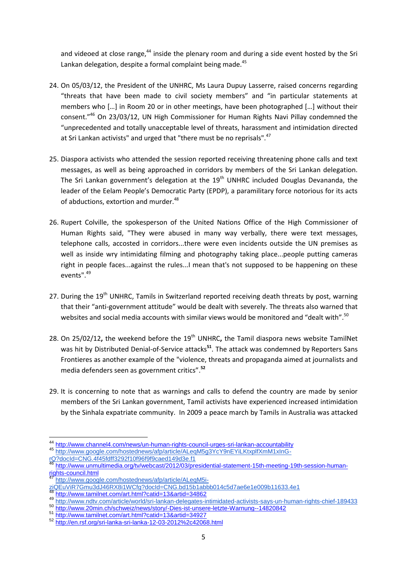and videoed at close range,<sup>44</sup> inside the plenary room and during a side event hosted by the Sri Lankan delegation, despite a formal complaint being made.<sup>45</sup>

- 24. On 05/03/12, the President of the UNHRC, Ms Laura Dupuy Lasserre, raised concerns regarding "threats that have been made to civil society members" and "in particular statements at members who [...] in Room 20 or in other meetings, have been photographed [...] without their consent."<sup>46</sup> On 23/03/12, UN High Commissioner for Human Rights Navi Pillay condemned the "unprecedented and totally unacceptable level of threats, harassment and intimidation directed at Sri Lankan activists" and urged that "there must be no reprisals".<sup>47</sup>
- 25. Diaspora activists who attended the session reported receiving threatening phone calls and text messages, as well as being approached in corridors by members of the Sri Lankan delegation. The Sri Lankan government's delegation at the  $19<sup>th</sup>$  UNHRC included Douglas Devananda, the leader of the Eelam People's Democratic Party (EPDP), a paramilitary force notorious for its acts of abductions, extortion and murder.<sup>48</sup>
- 26. Rupert Colville, the spokesperson of the United Nations Office of the High Commissioner of Human Rights said, "They were abused in many way verbally, there were text messages, telephone calls, accosted in corridors...there were even incidents outside the UN premises as well as inside wry intimidating filming and photography taking place...people putting cameras right in people faces...against the rules...I mean that's not supposed to be happening on these events".<sup>49</sup>
- 27. During the 19<sup>th</sup> UNHRC, Tamils in Switzerland reported receiving death threats by post, warning that their "anti-government attitude" would be dealt with severely. The threats also warned that websites and social media accounts with similar views would be monitored and "dealt with".<sup>50</sup>
- 28. On 25/02/12, the weekend before the 19<sup>th</sup> UNHRC, the Tamil diaspora news website TamilNet was hit by Distributed Denial-of-Service attacks**<sup>51</sup>**. The attack was condemned by Reporters Sans Frontieres as another example of the "violence, threats and propaganda aimed at journalists and media defenders seen as government critics". **52**
- 29. It is concerning to note that as warnings and calls to defend the country are made by senior members of the Sri Lankan government, Tamil activists have experienced increased intimidation by the Sinhala expatriate community. In 2009 a peace march by Tamils in Australia was attacked

**<sup>.</sup>** <sup>44</sup> <http://www.channel4.com/news/un-human-rights-council-urges-sri-lankan-accountability>

<sup>45</sup> [http://www.google.com/hostednews/afp/article/ALeqM5g3YcY9nEYiLKtxplfXmM1xInG-](http://www.google.com/hostednews/afp/article/ALeqM5g3YcY9nEYiLKtxplfXmM1xInG-rQ?docId=CNG.4f45fdff3292f10f96f9f9caed149d3e.f1)

[rQ?docId=CNG.4f45fdff3292f10f96f9f9caed149d3e.f1](http://www.google.com/hostednews/afp/article/ALeqM5g3YcY9nEYiLKtxplfXmM1xInG-rQ?docId=CNG.4f45fdff3292f10f96f9f9caed149d3e.f1)<br>TQ?docId=CNG.4f45fdff3292f10f96f9f9caed149d3e.f1

<sup>46</sup> [http://www.unmultimedia.org/tv/webcast/2012/03/presidential-statement-15th-meeting-19th-session-human](http://www.unmultimedia.org/tv/webcast/2012/03/presidential-statement-15th-meeting-19th-session-human-rights-council.html)[rights-council.html](http://www.unmultimedia.org/tv/webcast/2012/03/presidential-statement-15th-meeting-19th-session-human-rights-council.html)

[http://www.google.com/hostednews/afp/article/ALeqM5i-](http://www.google.com/hostednews/afp/article/ALeqM5i-ziQEuViR7Gmu3dJ46RX8i1WCfg?docId=CNG.bd15b1abbb014c5d7ae6e1e009b11633.4e1)

[ziQEuViR7Gmu3dJ46RX8i1WCfg?docId=CNG.bd15b1abbb014c5d7ae6e1e009b11633.4e1](http://www.google.com/hostednews/afp/article/ALeqM5i-ziQEuViR7Gmu3dJ46RX8i1WCfg?docId=CNG.bd15b1abbb014c5d7ae6e1e009b11633.4e1)

<sup>48</sup> <http://www.tamilnet.com/art.html?catid=13&artid=34862>

<sup>49</sup> <http://www.ndtv.com/article/world/sri-lankan-delegates-intimidated-activists-says-un-human-rights-chief-189433>

<sup>50</sup> <http://www.20min.ch/schweiz/news/story/-Dies-ist-unsere-letzte-Warnung--14820842><br>51 http://www.tomilpet.com/art.html?oatid=128 artid=24027

<sup>51</sup> <http://www.tamilnet.com/art.html?catid=13&artid=34927>

<sup>52</sup> <http://en.rsf.org/sri-lanka-sri-lanka-12-03-2012%2c42068.html>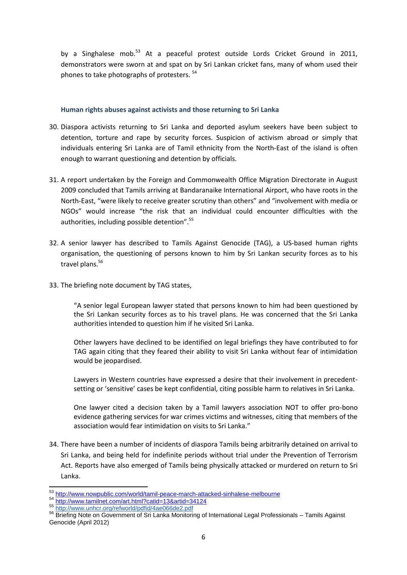by a Singhalese mob.<sup>53</sup> At a peaceful protest outside Lords Cricket Ground in 2011, demonstrators were sworn at and spat on by Sri Lankan cricket fans, many of whom used their phones to take photographs of protesters.  $54$ 

#### **Human rights abuses against activists and those returning to Sri Lanka**

- 30. Diaspora activists returning to Sri Lanka and deported asylum seekers have been subject to detention, torture and rape by security forces. Suspicion of activism abroad or simply that individuals entering Sri Lanka are of Tamil ethnicity from the North-East of the island is often enough to warrant questioning and detention by officials.
- 31. A report undertaken by the Foreign and Commonwealth Office Migration Directorate in August 2009 concluded that Tamils arriving at Bandaranaike International Airport, who have roots in the North-East, "were likely to receive greater scrutiny than others" and "involvement with media or NGOs" would increase "the risk that an individual could encounter difficulties with the authorities, including possible detention".<sup>55</sup>
- 32. A senior lawyer has described to Tamils Against Genocide (TAG), a US-based human rights organisation, the questioning of persons known to him by Sri Lankan security forces as to his travel plans. 56
- 33. The briefing note document by TAG states,

"A senior legal European lawyer stated that persons known to him had been questioned by the Sri Lankan security forces as to his travel plans. He was concerned that the Sri Lanka authorities intended to question him if he visited Sri Lanka.

Other lawyers have declined to be identified on legal briefings they have contributed to for TAG again citing that they feared their ability to visit Sri Lanka without fear of intimidation would be jeopardised.

Lawyers in Western countries have expressed a desire that their involvement in precedentsetting or 'sensitive' cases be kept confidential, citing possible harm to relatives in Sri Lanka.

One lawyer cited a decision taken by a Tamil lawyers association NOT to offer pro-bono evidence gathering services for war crimes victims and witnesses, citing that members of the association would fear intimidation on visits to Sri Lanka."

34. There have been a number of incidents of diaspora Tamils being arbitrarily detained on arrival to Sri Lanka, and being held for indefinite periods without trial under the Prevention of Terrorism Act. Reports have also emerged of Tamils being physically attacked or murdered on return to Sri Lanka.

 $\overline{\phantom{a}}$ <sup>53</sup> <http://www.nowpublic.com/world/tamil-peace-march-attacked-sinhalese-melbourne>

<sup>54</sup> http://www.tiowpolio.com/art.html?catid=13&artid=34124

<sup>55</sup> <http://www.unhcr.org/refworld/pdfid/4ae066de2.pdf>

<sup>56</sup> Briefing Note on Government of Sri Lanka Monitoring of International Legal Professionals - Tamils Against Genocide (April 2012)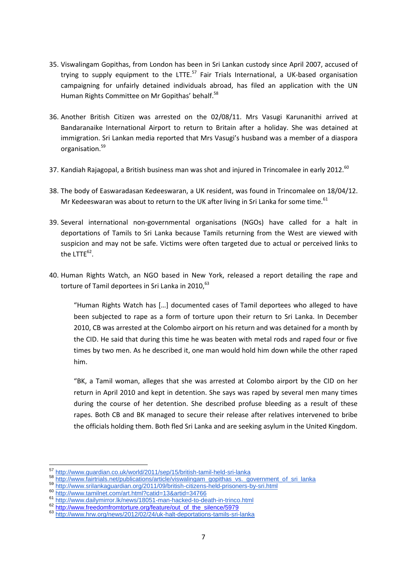- 35. Viswalingam Gopithas, from London has been in Sri Lankan custody since April 2007, accused of trying to supply equipment to the LTTE.<sup>57</sup> Fair Trials International, a UK-based organisation campaigning for unfairly detained individuals abroad, has filed an application with the UN Human Rights Committee on Mr Gopithas' behalf.<sup>58</sup>
- 36. Another British Citizen was arrested on the 02/08/11. Mrs Vasugi Karunanithi arrived at Bandaranaike International Airport to return to Britain after a holiday. She was detained at immigration. Sri Lankan media reported that Mrs Vasugi's husband was a member of a diaspora organisation. 59
- 37. Kandiah Rajagopal, a British business man was shot and injured in Trincomalee in early 2012.<sup>60</sup>
- 38. The body of Easwaradasan Kedeeswaran, a UK resident, was found in Trincomalee on 18/04/12. Mr Kedeeswaran was about to return to the UK after living in Sri Lanka for some time.<sup>61</sup>
- 39. Several international non-governmental organisations (NGOs) have called for a halt in deportations of Tamils to Sri Lanka because Tamils returning from the West are viewed with suspicion and may not be safe. Victims were often targeted due to actual or perceived links to the  $LTTE^{62}$ .
- 40. Human Rights Watch, an NGO based in New York, released a report detailing the rape and torture of Tamil deportees in Sri Lanka in 2010, 63

"Human Rights Watch has [...] documented cases of Tamil deportees who alleged to have been subjected to rape as a form of torture upon their return to Sri Lanka. In December 2010, CB was arrested at the Colombo airport on his return and was detained for a month by the CID. He said that during this time he was beaten with metal rods and raped four or five times by two men. As he described it, one man would hold him down while the other raped him.

"BK, a Tamil woman, alleges that she was arrested at Colombo airport by the CID on her return in April 2010 and kept in detention. She says was raped by several men many times during the course of her detention. She described profuse bleeding as a result of these rapes. Both CB and BK managed to secure their release after relatives intervened to bribe the officials holding them. Both fled Sri Lanka and are seeking asylum in the United Kingdom.

 $\overline{\phantom{a}}$ 

<sup>57</sup> <http://www.guardian.co.uk/world/2011/sep/15/british-tamil-held-sri-lanka>

<sup>58</sup> [http://www.fairtrials.net/publications/article/viswalingam\\_gopithas\\_vs.\\_government\\_of\\_sri\\_lanka](http://www.fairtrials.net/publications/article/viswalingam_gopithas_vs._government_of_sri_lanka)

<sup>59</sup> <http://www.srilankaguardian.org/2011/09/british-citizens-held-prisoners-by-sri.html>

<sup>60</sup> http://www.shighed.com/art.html?catid=13&artid=34766

<sup>61</sup> <http://www.dailymirror.lk/news/18051-man-hacked-to-death-in-trinco.html>

<sup>62</sup> [http://www.freedomfromtorture.org/feature/out\\_of\\_the\\_silence/5979](http://www.freedomfromtorture.org/feature/out_of_the_silence/5979)

<sup>63</sup> <http://www.hrw.org/news/2012/02/24/uk-halt-deportations-tamils-sri-lanka>